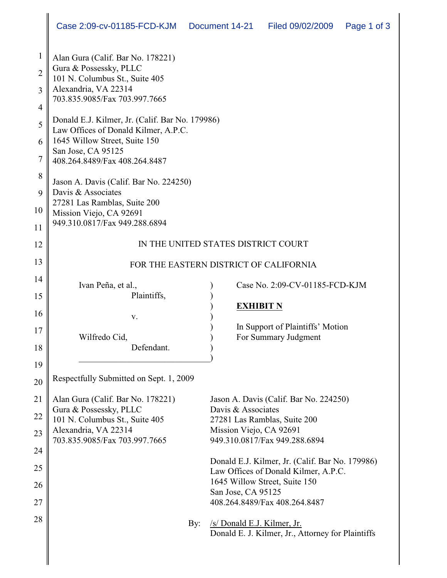| $\mathbf{1}$   | Alan Gura (Calif. Bar No. 178221)                                                       |                                                                                  |
|----------------|-----------------------------------------------------------------------------------------|----------------------------------------------------------------------------------|
| $\overline{2}$ | Gura & Possessky, PLLC<br>101 N. Columbus St., Suite 405                                |                                                                                  |
| 3              | Alexandria, VA 22314<br>703.835.9085/Fax 703.997.7665                                   |                                                                                  |
| 4              |                                                                                         |                                                                                  |
| 5              | Donald E.J. Kilmer, Jr. (Calif. Bar No. 179986)<br>Law Offices of Donald Kilmer, A.P.C. |                                                                                  |
| 6              | 1645 Willow Street, Suite 150                                                           |                                                                                  |
| 7              | San Jose, CA 95125<br>408.264.8489/Fax 408.264.8487                                     |                                                                                  |
| 8              | Jason A. Davis (Calif. Bar No. 224250)                                                  |                                                                                  |
| 9              | Davis & Associates<br>27281 Las Ramblas, Suite 200                                      |                                                                                  |
| 10             | Mission Viejo, CA 92691                                                                 |                                                                                  |
| 11             | 949.310.0817/Fax 949.288.6894                                                           |                                                                                  |
| 12             | IN THE UNITED STATES DISTRICT COURT                                                     |                                                                                  |
| 13             |                                                                                         | FOR THE EASTERN DISTRICT OF CALIFORNIA                                           |
| 14             | Ivan Peña, et al.,                                                                      | Case No. 2:09-CV-01185-FCD-KJM                                                   |
| 15             | Plaintiffs,                                                                             |                                                                                  |
| 16             | V.                                                                                      | <b>EXHIBIT N</b>                                                                 |
| 17             |                                                                                         | In Support of Plaintiffs' Motion                                                 |
|                | Wilfredo Cid,                                                                           | For Summary Judgment                                                             |
| 18             | Defendant.                                                                              |                                                                                  |
| 19             |                                                                                         |                                                                                  |
| 20             | Respectfully Submitted on Sept. 1, 2009                                                 |                                                                                  |
| 21             | Alan Gura (Calif. Bar No. 178221)                                                       | Jason A. Davis (Calif. Bar No. 224250)                                           |
| 22             | Gura & Possessky, PLLC<br>101 N. Columbus St., Suite 405                                | Davis & Associates<br>27281 Las Ramblas, Suite 200                               |
| 23             | Alexandria, VA 22314                                                                    | Mission Viejo, CA 92691                                                          |
|                | 703.835.9085/Fax 703.997.7665                                                           | 949.310.0817/Fax 949.288.6894                                                    |
| 24             |                                                                                         | Donald E.J. Kilmer, Jr. (Calif. Bar No. 179986)                                  |
| 25             |                                                                                         | Law Offices of Donald Kilmer, A.P.C.                                             |
| 26             |                                                                                         | 1645 Willow Street, Suite 150                                                    |
| 27             |                                                                                         | San Jose, CA 95125<br>408.264.8489/Fax 408.264.8487                              |
| 28             |                                                                                         |                                                                                  |
|                | By:                                                                                     | /s/ Donald E.J. Kilmer, Jr.<br>Donald E. J. Kilmer, Jr., Attorney for Plaintiffs |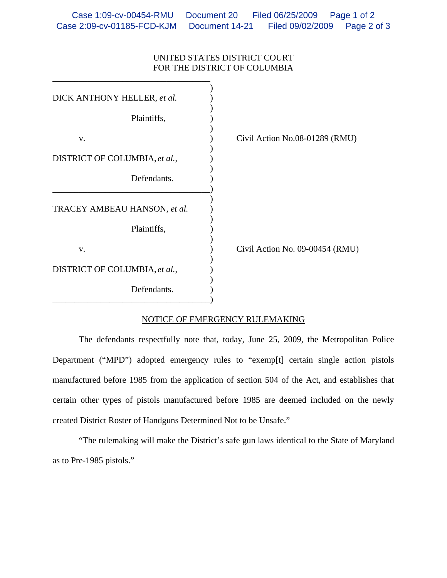## UNITED STATES DISTRICT COURT FOR THE DISTRICT OF COLUMBIA

| DICK ANTHONY HELLER, et al.   |                                 |
|-------------------------------|---------------------------------|
| Plaintiffs,                   |                                 |
| V.                            | Civil Action No.08-01289 (RMU)  |
| DISTRICT OF COLUMBIA, et al., |                                 |
| Defendants.                   |                                 |
| TRACEY AMBEAU HANSON, et al.  |                                 |
| Plaintiffs,                   |                                 |
| V.                            | Civil Action No. 09-00454 (RMU) |
| DISTRICT OF COLUMBIA, et al., |                                 |
| Defendants.                   |                                 |

\_\_\_\_\_\_\_\_\_\_\_\_\_\_\_\_\_\_\_\_\_\_\_\_\_\_\_\_\_\_\_\_\_\_\_\_

## NOTICE OF EMERGENCY RULEMAKING

 The defendants respectfully note that, today, June 25, 2009, the Metropolitan Police Department ("MPD") adopted emergency rules to "exemp[t] certain single action pistols manufactured before 1985 from the application of section 504 of the Act, and establishes that certain other types of pistols manufactured before 1985 are deemed included on the newly created District Roster of Handguns Determined Not to be Unsafe."

"The rulemaking will make the District's safe gun laws identical to the State of Maryland as to Pre-1985 pistols."